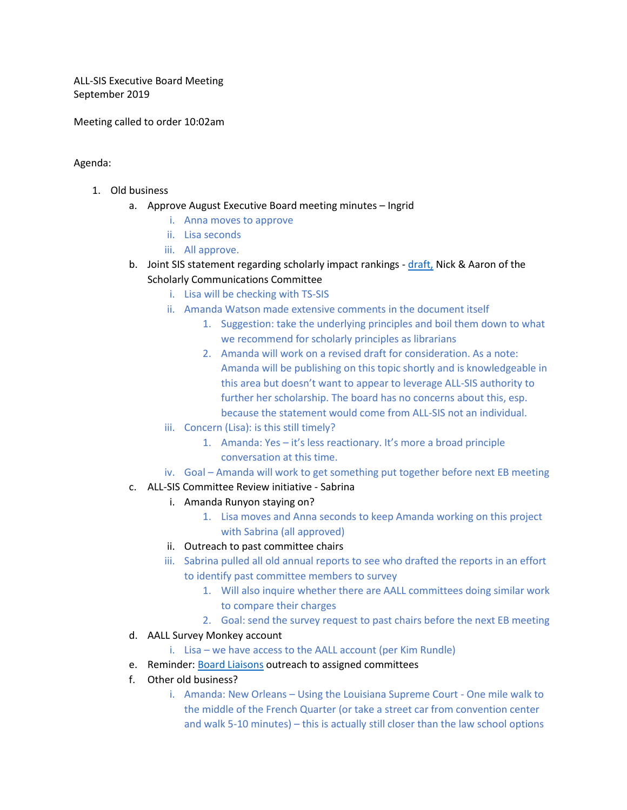ALL-SIS Executive Board Meeting September 2019

Meeting called to order 10:02am

Agenda:

- 1. Old business
	- a. Approve August Executive Board meeting minutes Ingrid
		- i. Anna moves to approve
		- ii. Lisa seconds
		- iii. All approve.
	- b. Joint SIS statement regarding scholarly impact rankings [draft,](https://docs.google.com/document/d/1FxZwbH4GAn5l-nd44CZi9Q8JwIj5SsLIQhHz4UtCc2s/edit#heading=h.5yklrdc9n4w2) Nick & Aaron of the Scholarly Communications Committee
		- i. Lisa will be checking with TS-SIS
		- ii. Amanda Watson made extensive comments in the document itself
			- 1. Suggestion: take the underlying principles and boil them down to what we recommend for scholarly principles as librarians
			- 2. Amanda will work on a revised draft for consideration. As a note: Amanda will be publishing on this topic shortly and is knowledgeable in this area but doesn't want to appear to leverage ALL-SIS authority to further her scholarship. The board has no concerns about this, esp. because the statement would come from ALL-SIS not an individual.
		- iii. Concern (Lisa): is this still timely?
			- 1. Amanda: Yes it's less reactionary. It's more a broad principle conversation at this time.
		- iv. Goal Amanda will work to get something put together before next EB meeting
	- c. ALL-SIS Committee Review initiative Sabrina
		- i. Amanda Runyon staying on?
			- 1. Lisa moves and Anna seconds to keep Amanda working on this project with Sabrina (all approved)
			- ii. Outreach to past committee chairs
			- iii. Sabrina pulled all old annual reports to see who drafted the reports in an effort to identify past committee members to survey
				- 1. Will also inquire whether there are AALL committees doing similar work to compare their charges
				- 2. Goal: send the survey request to past chairs before the next EB meeting
	- d. AALL Survey Monkey account
		- i. Lisa we have access to the AALL account (per Kim Rundle)
	- e. Reminder: [Board Liaisons](https://www.aallnet.org/allsis/about-us/officers-committees/committee-rosters/) outreach to assigned committees
	- f. Other old business?
		- i. Amanda: New Orleans Using the Louisiana Supreme Court One mile walk to the middle of the French Quarter (or take a street car from convention center and walk 5-10 minutes) – this is actually still closer than the law school options